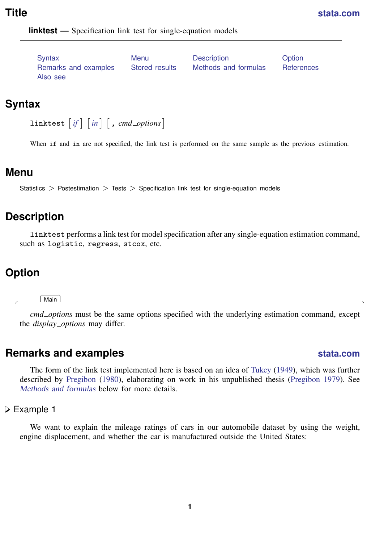<span id="page-0-5"></span>

**linktest** — Specification link test for single-equation models

[Syntax](#page-0-0) [Menu](#page-0-1) [Description](#page-0-2) [Option](#page-0-3) [Remarks and examples](#page-0-4) [Stored results](#page-4-0) [Methods and formulas](#page-5-0) [References](#page-5-1) [Also see](#page-5-2)

## <span id="page-0-0"></span>**Syntax**

```
ifin{bmatrix} in \end{bmatrix}, cmd\_options \end{bmatrix}
```
<span id="page-0-1"></span>When if and in are not specified, the link test is performed on the same sample as the previous estimation.

#### **Menu**

<span id="page-0-2"></span>Statistics  $>$  Postestimation  $>$  Tests  $>$  Specification link test for single-equation models

## **Description**

<span id="page-0-3"></span>linktest performs a link test for model specification after any single-equation estimation command, such as logistic, regress, stcox, etc.

# **Option**

 $\overline{a}$ 

**Main** Main  $\Box$ 

<span id="page-0-4"></span>*cmd options* must be the same options specified with the underlying estimation command, except the *display options* may differ.

# **Remarks and examples [stata.com](http://stata.com)**

The form of the link test implemented here is based on an idea of [Tukey](#page-5-3) ([1949\)](#page-5-3), which was further described by [Pregibon](#page-5-4) ([1980\)](#page-5-4), elaborating on work in his unpublished thesis [\(Pregibon](#page-5-5) [1979\)](#page-5-5). See [Methods and formulas](#page-5-0) below for more details.

Example 1

We want to explain the mileage ratings of cars in our automobile dataset by using the weight, engine displacement, and whether the car is manufactured outside the United States: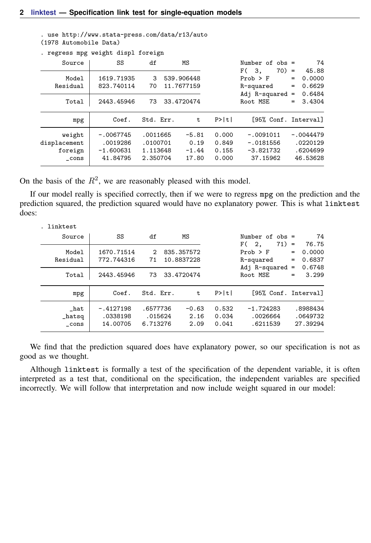| . use http://www.stata-press.com/data/r13/auto |  |
|------------------------------------------------|--|
| (1978 Automobile Data)                         |  |

| . regress mpg                             | weight displ foreign                               |                                              |                                        |                                  |                                                                                |                          |                                                 |
|-------------------------------------------|----------------------------------------------------|----------------------------------------------|----------------------------------------|----------------------------------|--------------------------------------------------------------------------------|--------------------------|-------------------------------------------------|
| Source                                    | SS                                                 | df                                           | МS                                     |                                  | Number of $obs =$                                                              |                          | 74                                              |
| Model<br>Residual<br>Total                | 1619.71935<br>823.740114<br>2443.45946             | 3<br>70<br>73                                | 539.906448<br>11.7677159<br>33.4720474 |                                  | $70) =$<br>F (<br>3.<br>$Prob$ > $F$<br>R-squared<br>Adj R-squared<br>Root MSE | $=$<br>$=$<br>$=$<br>$=$ | 45.88<br>0.0000<br>0.6629<br>0.6484<br>3.4304   |
| mpg                                       | Coef.                                              | Std. Err.                                    | t                                      | P>  t                            | [95% Conf. Interval]                                                           |                          |                                                 |
| weight<br>displacement<br>foreign<br>cons | $-.0067745$<br>.0019286<br>$-1.600631$<br>41.84795 | .0011665<br>.0100701<br>1.113648<br>2.350704 | $-5.81$<br>0.19<br>$-1.44$<br>17.80    | 0.000<br>0.849<br>0.155<br>0.000 | $-.0091011$<br>$-.0181556$<br>$-3.821732$<br>37.15962                          |                          | $-.0044479$<br>.0220129<br>.6204699<br>46.53628 |

On the basis of the  $R^2$ , we are reasonably pleased with this model.

If our model really is specified correctly, then if we were to regress mpg on the prediction and the prediction squared, the prediction squared would have no explanatory power. This is what linktest does:

| linktest                                   |                                        |                                 |                                        |                         |                                                                                |                                                                   |
|--------------------------------------------|----------------------------------------|---------------------------------|----------------------------------------|-------------------------|--------------------------------------------------------------------------------|-------------------------------------------------------------------|
| Source                                     | SS                                     | df                              | ΜS                                     |                         | Number of $obs =$                                                              | 74                                                                |
| Model<br>Residual<br>Total                 | 1670.71514<br>772.744316<br>2443.45946 | $\mathcal{D}$<br>71<br>73       | 835.357572<br>10.8837228<br>33.4720474 |                         | $71) =$<br>F(2,<br>$Prob$ > $F$<br>R-squared<br>Adj $R$ -squared =<br>Root MSE | 76.75<br>0.0000<br>$=$<br>0.6837<br>$=$<br>0.6748<br>3.299<br>$=$ |
| mpg                                        | Coef.                                  | Std. Err.                       | t.                                     | P>  t                   | [95% Conf. Interval]                                                           |                                                                   |
| $\_hat$<br>$_{\texttt{hatsq}}$<br>$\_cons$ | $-.4127198$<br>.0338198<br>14.00705    | .6577736<br>.015624<br>6.713276 | $-0.63$<br>2.16<br>2.09                | 0.532<br>0.034<br>0.041 | $-1.724283$<br>.0026664<br>.6211539                                            | .8988434<br>.0649732<br>27.39294                                  |

We find that the prediction squared does have explanatory power, so our specification is not as good as we thought.

Although linktest is formally a test of the specification of the dependent variable, it is often interpreted as a test that, conditional on the specification, the independent variables are specified incorrectly. We will follow that interpretation and now include weight squared in our model: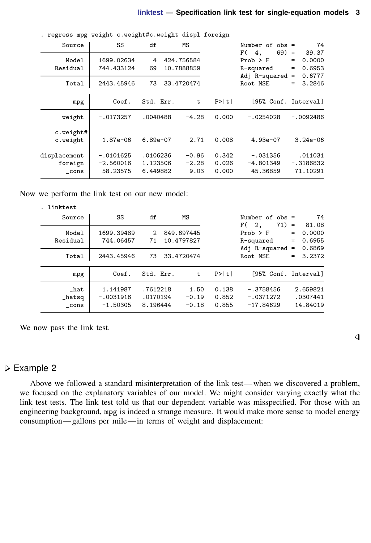|              | . regress mpg weight c.weight#c.weight displ foreign |            |            |       |                      |     |             |
|--------------|------------------------------------------------------|------------|------------|-------|----------------------|-----|-------------|
| Source       | SS                                                   | df         | МS         |       | Number of $obs =$    |     | 74          |
|              |                                                      |            |            |       | F(4.<br>$69) =$      |     | 39.37       |
| Model        | 1699.02634                                           | 4          | 424.756584 |       | $Prob$ > $F$         | $=$ | 0.0000      |
| Residual     | 744.433124                                           | 69         | 10.7888859 |       | R-squared            | $=$ | 0.6953      |
|              |                                                      |            |            |       | Adj $R$ -squared =   |     | 0.6777      |
| Total        | 2443.45946                                           | 73         | 33.4720474 |       | Root MSE             | $=$ | 3.2846      |
|              |                                                      |            |            |       |                      |     |             |
| mpg          | Coef.                                                | Std. Err.  | t          | P>  t | [95% Conf. Interval] |     |             |
|              |                                                      |            |            |       |                      |     |             |
| weight       | $-.0173257$                                          | .0040488   | $-4.28$    | 0.000 | $-.0254028$          |     | $-.0092486$ |
|              |                                                      |            |            |       |                      |     |             |
| c.weight#    |                                                      |            |            |       |                      |     |             |
| c.weight     | $1.87e - 06$                                         | $6.89e-07$ | 2.71       | 0.008 | $4.93e-07$           |     | $3.24e-06$  |
|              |                                                      |            |            |       |                      |     |             |
| displacement | $-.0101625$                                          | .0106236   | $-0.96$    | 0.342 | $-.031356$           |     | .011031     |
| foreign      | $-2.560016$                                          | 1.123506   | $-2.28$    | 0.026 | $-4.801349$          |     | $-.3186832$ |
| $\_cons$     | 58.23575                                             | 6.449882   | 9.03       | 0.000 | 45.36859             |     | 71.10291    |
|              |                                                      |            |            |       |                      |     |             |

Now we perform the link test on our new model:

| . linktest                         |                                       |                                  |                          |                            |                         |                                                                    |            |                                     |
|------------------------------------|---------------------------------------|----------------------------------|--------------------------|----------------------------|-------------------------|--------------------------------------------------------------------|------------|-------------------------------------|
| Source                             | SS                                    | df                               |                          | ΜS                         |                         | Number of $obs =$                                                  |            | 74                                  |
| Model<br>Residual                  | 1699.39489<br>744.06457               | $\mathcal{D}$<br>71              | 849.697445<br>10.4797827 |                            |                         | $71) =$<br>F(2,<br>$Prob$ > $F$<br>R-squared<br>Adj $R$ -squared = | $=$<br>$=$ | 81.08<br>0.0000<br>0.6955<br>0.6869 |
| Total                              | 2443.45946                            | 73                               | 33.4720474               |                            |                         | Root MSE                                                           |            | $= 3.2372$                          |
| mpg                                | Coef.                                 | Std. Err.                        |                          | t                          | P>  t                   | [95% Conf. Interval]                                               |            |                                     |
| hat<br>$_{\texttt{hatsq}}$<br>cons | 1.141987<br>$-.0031916$<br>$-1.50305$ | .7612218<br>.0170194<br>8.196444 |                          | 1.50<br>$-0.19$<br>$-0.18$ | 0.138<br>0.852<br>0.855 | $-.3758456$<br>$-.0371272$<br>$-17.84629$                          |            | 2.659821<br>.0307441<br>14.84019    |

We now pass the link test.

#### Example 2

Above we followed a standard misinterpretation of the link test—when we discovered a problem, we focused on the explanatory variables of our model. We might consider varying exactly what the link test tests. The link test told us that our dependent variable was misspecified. For those with an engineering background, mpg is indeed a strange measure. It would make more sense to model energy consumption— gallons per mile—in terms of weight and displacement: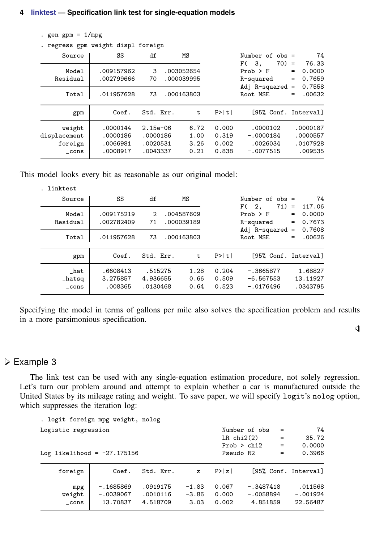. gen gpm =  $1/mpg$ 

|                                               | . regress gpm weight displ foreign           |                                                |                                        |                                  |                                                                                     |                                                                    |
|-----------------------------------------------|----------------------------------------------|------------------------------------------------|----------------------------------------|----------------------------------|-------------------------------------------------------------------------------------|--------------------------------------------------------------------|
| Source                                        | SS                                           | df                                             | МS                                     |                                  | Number of $obs =$                                                                   | 74                                                                 |
| Model<br>Residual<br>Total                    | .009157962<br>.002799666<br>.011957628       | 3<br>70<br>73                                  | .003052654<br>.000039995<br>.000163803 |                                  | $70) =$<br>3.<br>F (<br>$Prob$ > $F$<br>R-squared<br>Adj $R$ -squared =<br>Root MSE | 76.33<br>0.0000<br>$=$<br>0.7659<br>$=$<br>0.7558<br>.00632<br>$=$ |
| gpm                                           | Coef.                                        | Std. Err.                                      | t                                      | P>  t                            | [95% Conf. Interval]                                                                |                                                                    |
| weight<br>displacement<br>foreign<br>$\_cons$ | .0000144<br>.0000186<br>.0066981<br>.0008917 | $2.15e-06$<br>.0000186<br>.0020531<br>.0043337 | 6.72<br>1.00<br>3.26<br>0.21           | 0.000<br>0.319<br>0.002<br>0.838 | .0000102<br>$-.0000184$<br>.0026034<br>$-.0077515$                                  | .0000187<br>.0000557<br>.0107928<br>.009535                        |

This model looks every bit as reasonable as our original model:

| . linktest<br>Source                   | SS                              | df                              | МS |                          |                         | Number of $obs =$                                                  | 74<br>117.06                             |
|----------------------------------------|---------------------------------|---------------------------------|----|--------------------------|-------------------------|--------------------------------------------------------------------|------------------------------------------|
| Model<br>Residual                      | .009175219<br>.002782409        | $\mathcal{L}$<br>71             |    | .004587609<br>.000039189 |                         | $71) =$<br>F(2,<br>$Prob$ > $F$<br>R-squared<br>Adj $R$ -squared = | 0.0000<br>$=$<br>0.7673<br>$=$<br>0.7608 |
| Total                                  | .011957628                      | 73                              |    | .000163803               |                         | Root MSE                                                           | .00626<br>$=$                            |
| gpm                                    | Coef.                           | Std. Err.                       |    | t                        | P>  t                   | [95% Conf. Interval]                                               |                                          |
| $\_hat$<br>$_{\texttt{hatsq}}$<br>cons | .6608413<br>3.275857<br>.008365 | .515275<br>4.936655<br>.0130468 |    | 1.28<br>0.66<br>0.64     | 0.204<br>0.509<br>0.523 | $-.3665877$<br>$-6.567553$<br>$-.0176496$                          | 1.68827<br>13.11927<br>.0343795          |

Specifying the model in terms of gallons per mile also solves the specification problem and results in a more parsimonious specification.

 $\triangleleft$ 

#### Example 3

The link test can be used with any single-equation estimation procedure, not solely regression. Let's turn our problem around and attempt to explain whether a car is manufactured outside the United States by its mileage rating and weight. To save paper, we will specify logit's nolog option, which suppresses the iteration log:

| . logit foreign mpg weight, nolog |             |           |              |                 |               |     |                      |
|-----------------------------------|-------------|-----------|--------------|-----------------|---------------|-----|----------------------|
| Logistic regression               |             |           |              |                 | Number of obs | $=$ | 74                   |
|                                   |             |           |              | $LR$ chi $2(2)$ |               | $=$ | 35.72                |
|                                   |             |           |              |                 | Prob > chi2   | $=$ | 0.0000               |
| Log likelihood = $-27.175156$     |             |           |              | Pseudo R2       |               | $=$ | 0.3966               |
|                                   |             |           |              |                 |               |     |                      |
| foreign                           | Coef.       | Std. Err. | $\mathbf{z}$ | P >  z          |               |     | [95% Conf. Interval] |
| mpg                               | $-1685869$  | .0919175  | $-1.83$      | 0.067           | $-.3487418$   |     | .011568              |
| weight                            | $-.0039067$ | .0010116  | $-3.86$      | 0.000           | $-.0058894$   |     | $-.001924$           |
| cons                              | 13.70837    | 4.518709  | 3.03         | 0.002           | 4.851859      |     | 22.56487             |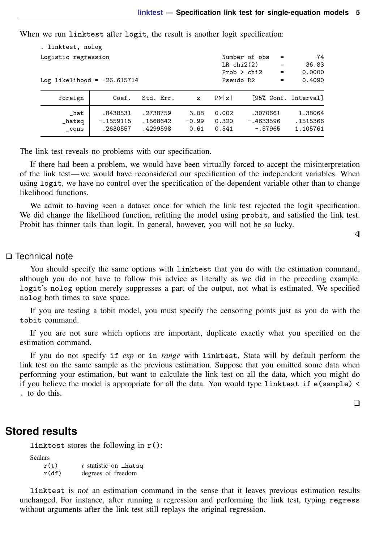When we run linktest after logit, the result is another logit specification:

| . linktest, nolog             |             |               |              |           |                 |     |                      |
|-------------------------------|-------------|---------------|--------------|-----------|-----------------|-----|----------------------|
| Logistic regression           |             | Number of obs | $=$          | 74        |                 |     |                      |
|                               |             |               |              |           | $LR$ chi $2(2)$ | $=$ | 36.83                |
|                               |             |               |              |           | Prob > chi2     | $=$ | 0.0000               |
| Log likelihood = $-26.615714$ |             |               |              | Pseudo R2 |                 | $=$ | 0.4090               |
| foreign                       | Coef.       | Std. Err.     | $\mathbf{z}$ | P >  z    |                 |     | [95% Conf. Interval] |
| $\_hat$                       | .8438531    | .2738759      | 3.08         | 0.002     | .3070661        |     | 1.38064              |
| $_{\texttt{hatsq}}$           | $-.1559115$ | .1568642      | $-0.99$      | 0.320     | $-.4633596$     |     | .1515366             |
| cons                          | .2630557    | .4299598      | 0.61         | 0.541     | $-.57965$       |     | 1.105761             |

The link test reveals no problems with our specification.

If there had been a problem, we would have been virtually forced to accept the misinterpretation of the link test—we would have reconsidered our specification of the independent variables. When using logit, we have no control over the specification of the dependent variable other than to change likelihood functions.

We admit to having seen a dataset once for which the link test rejected the logit specification. We did change the likelihood function, refitting the model using probit, and satisfied the link test. Probit has thinner tails than logit. In general, however, you will not be so lucky.

#### □ Technical note

You should specify the same options with linktest that you do with the estimation command, although you do not have to follow this advice as literally as we did in the preceding example. logit's nolog option merely suppresses a part of the output, not what is estimated. We specified nolog both times to save space.

If you are testing a tobit model, you must specify the censoring points just as you do with the tobit command.

If you are not sure which options are important, duplicate exactly what you specified on the estimation command.

If you do not specify if *exp* or in *range* with linktest, Stata will by default perform the link test on the same sample as the previous estimation. Suppose that you omitted some data when performing your estimation, but want to calculate the link test on all the data, which you might do if you believe the model is appropriate for all the data. You would type linktest if e(sample) < . to do this.

 $\Box$ 

◁

## <span id="page-4-0"></span>**Stored results**

linktest stores the following in  $r()$ :

Scalars<br> $r(t)$ 

 $r(t)$  t statistic on  $\text{Latsq}$ <br> $r(df)$  degrees of freedom degrees of freedom

linktest is not an estimation command in the sense that it leaves previous estimation results unchanged. For instance, after running a regression and performing the link test, typing regress without arguments after the link test still replays the original regression.